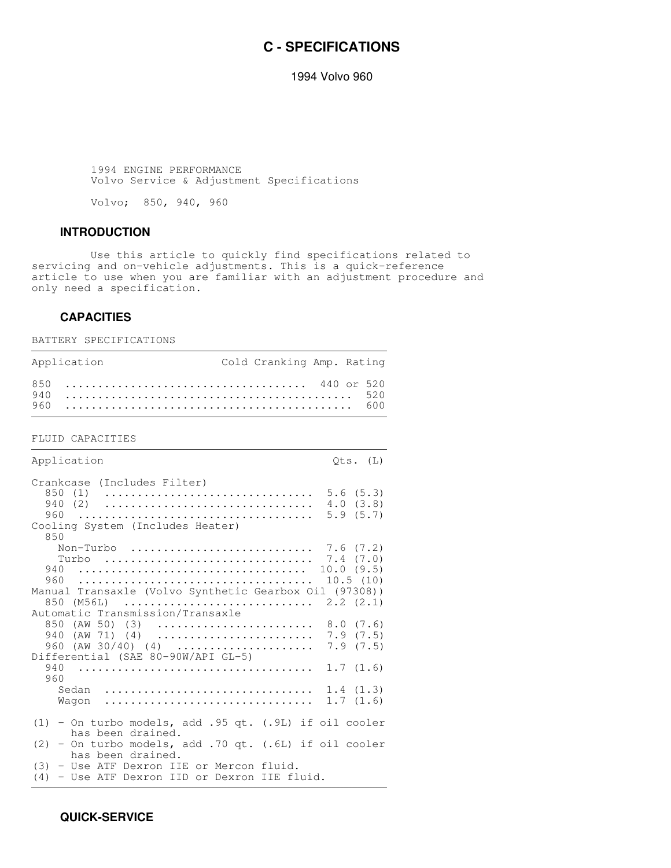# **C - SPECIFICATIONS**

1994 Volvo 960

 1994 ENGINE PERFORMANCE Volvo Service & Adjustment Specifications

Volvo; 850, 940, 960

#### **INTRODUCTION**

 Use this article to quickly find specifications related to servicing and on-vehicle adjustments. This is a quick-reference article to use when you are familiar with an adjustment procedure and only need a specification.

#### **CAPACITIES**

BATTERY SPECIFICATIONS

| Application | Cold Cranking Amp. Rating |  |
|-------------|---------------------------|--|
|             |                           |  |

FLUID CAPACITIES

Application  $Qts. (L)$ Crankcase (Includes Filter) 850 (1) ................................ 5.6 (5.3) 940 (2) ................................ 4.0 (3.8) 960 .................................... 5.9 (5.7) Cooling System (Includes Heater) 850 Non-Turbo ............................ 7.6 (7.2) Turbo ................................ 7.4 (7.0) 940 ................................... 10.0 (9.5) 960 .................................... 10.5 (10) Manual Transaxle (Volvo Synthetic Gearbox Oil (97308)) 850 (M56L) ............................. 2.2 (2.1) Automatic Transmission/Transaxle 850 (AW 50) (3) ................................ 8.0 (7.6) 940 (AW 71) (4) ........................ 7.9 (7.5) 960 (AW 30/40) (4) ..................... 7.9 (7.5) Differential (SAE 80-90W/API GL-5) 940 .................................... 1.7 (1.6) 960 Sedan ................................ 1.4 (1.3) Wagon ................................ 1.7 (1.6) (1) - On turbo models, add .95 qt. (.9L) if oil cooler has been drained. (2) - On turbo models, add .70 qt. (.6L) if oil cooler has been drained. (3) - Use ATF Dexron IIE or Mercon fluid. (4) - Use ATF Dexron IID or Dexron IIE fluid.

 **QUICK-SERVICE**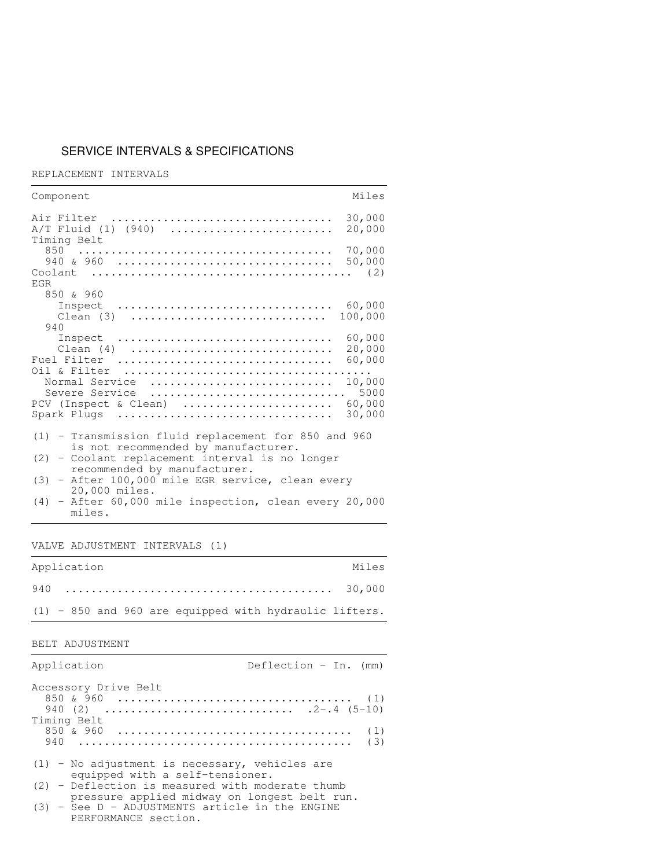# SERVICE INTERVALS & SPECIFICATIONS

REPLACEMENT INTERVALS

| Miles<br>Component                                                                                                           |  |
|------------------------------------------------------------------------------------------------------------------------------|--|
| 30,000<br>Air Filter<br>A/T Fluid (1) (940)<br>20,000<br>Timing Belt                                                         |  |
| 70,000                                                                                                                       |  |
| EGR                                                                                                                          |  |
| 850 & 960<br>Inspect $\ldots \ldots \ldots \ldots \ldots \ldots \ldots \ldots \ldots \ldots \ldots$ 60,000<br>100,000<br>940 |  |
| 60,000<br>Inspect<br>20,000<br>Clean $(4)$<br>60,000<br>Fuel Filter                                                          |  |
| 10,000<br>Normal Service<br>Severe Service  5000<br>PCV (Inspect & Clean)  60,000<br>30,000<br>Spark Plugs                   |  |
| $(1)$ - Transmission fluid replacement for 850 and 960<br>is not recommended by manufacturer.                                |  |
| (2) - Coolant replacement interval is no longer                                                                              |  |
| recommended by manufacturer.<br>$(3)$ - After 100,000 mile EGR service, clean every<br>20,000 miles.                         |  |
| (4) - After 60,000 mile inspection, clean every 20,000<br>miles.                                                             |  |

VALVE ADJUSTMENT INTERVALS (1)

| Application | Miles                                                    |
|-------------|----------------------------------------------------------|
|             |                                                          |
|             | $(1)$ - 850 and 960 are equipped with hydraulic lifters. |

#### BELT ADJUSTMENT

| Application                                                                                        | Deflection - In. $(mm)$ |
|----------------------------------------------------------------------------------------------------|-------------------------|
| Accessory Drive Belt<br>Timing Belt                                                                |                         |
|                                                                                                    | (1)<br>(3)              |
| $(1)$ - No adjustment is necessary, vehicles are<br>equipped with a self-tensioner.                |                         |
| $(2)$ - Deflection is measured with moderate thumb<br>pressure applied midway on longest belt run. |                         |
| (3) - See D - ADJUSTMENTS article in the ENGINE<br>PERFORMANCE section.                            |                         |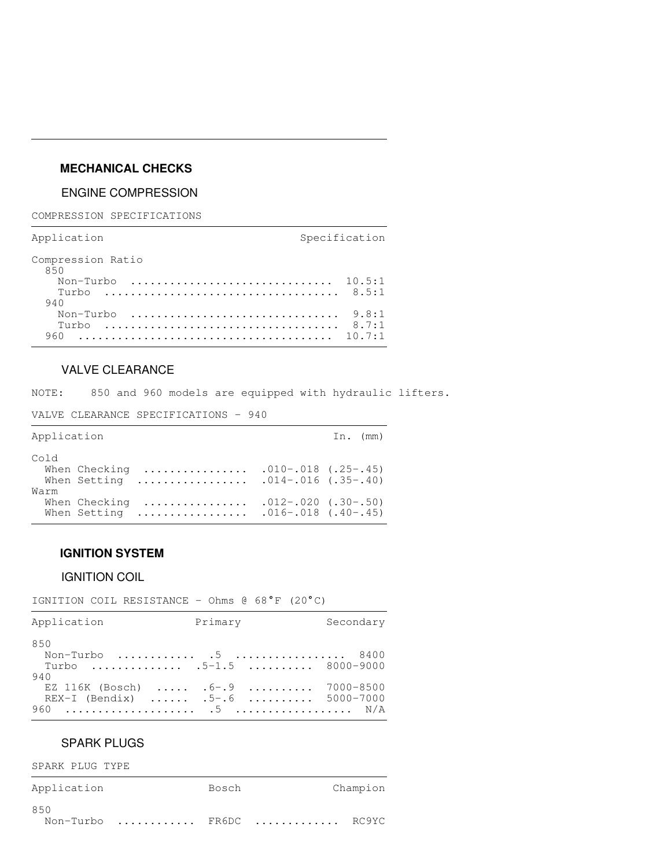# **MECHANICAL CHECKS**

## ENGINE COMPRESSION

COMPRESSION SPECIFICATIONS

Application Specification

| Compression Ratio<br>850                                                         |  |
|----------------------------------------------------------------------------------|--|
|                                                                                  |  |
|                                                                                  |  |
| 940                                                                              |  |
| Non-Turbo $\ldots \ldots \ldots \ldots \ldots \ldots \ldots \ldots \ldots$ 9.8:1 |  |
| Turbo                                                                            |  |
|                                                                                  |  |
|                                                                                  |  |

## VALVE CLEARANCE

NOTE: 850 and 960 models are equipped with hydraulic lifters.

VALVE CLEARANCE SPECIFICATIONS - 940

| Application |                               |                   |                                                    | In. $(mm)$ |
|-------------|-------------------------------|-------------------|----------------------------------------------------|------------|
| Cold        | When Checking                 | .<br>When Setting | $.010-.018$ $(.25-.45)$<br>$.014-.016$ $(.35-.40)$ |            |
| Warm        | When Checking<br>When Setting | .<br>.            | $.012-.020$ $(.30-.50)$<br>$.016-.018$ $(.40-.45)$ |            |

## **IGNITION SYSTEM**

#### IGNITION COIL

IGNITION COIL RESISTANCE - Ohms  $@68°F (20°C)$ 

| Application                                                            | Primary | Secondary |
|------------------------------------------------------------------------|---------|-----------|
| 850                                                                    |         |           |
| Non-Turbo  5  8400<br>Turbo  5-1.5  8000-9000                          |         |           |
| 940                                                                    |         |           |
| EZ 116K (Bosch) $6 - .9$ 7000-8500<br>REX-I (Bendix)  .5-.6  5000-7000 |         |           |
|                                                                        |         |           |

## SPARK PLUGS

SPARK PLUG TYPE

| Application | Bosch |                         | Champion |
|-------------|-------|-------------------------|----------|
| 850         |       | Non-Turbo  FR6DC  RC9YC |          |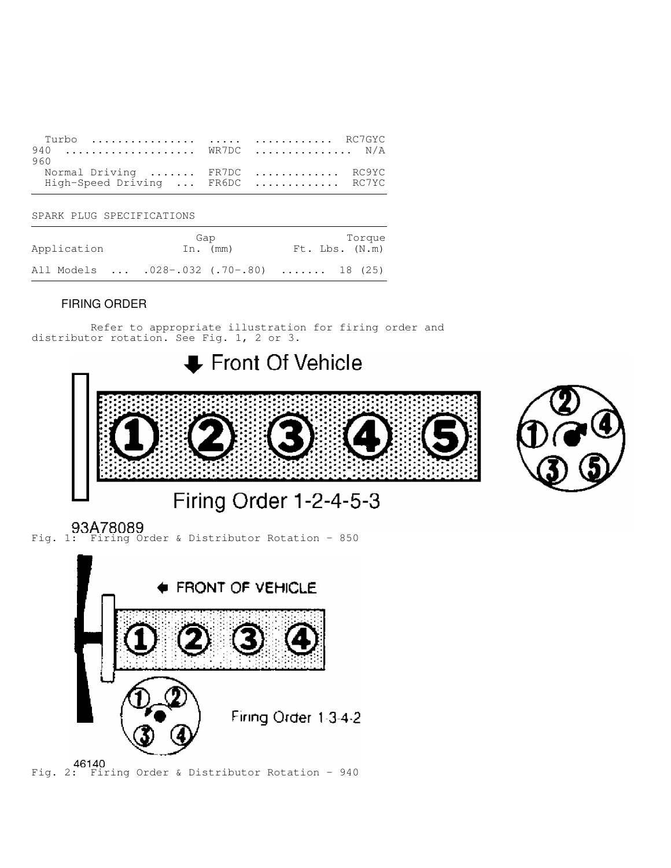| 940 $WR7DC$ $N/A$                |  |  |
|----------------------------------|--|--|
| 960                              |  |  |
| Normal Driving  FR7DC  RC9YC     |  |  |
| High-Speed Driving  FR6DC  RC7YC |  |  |

SPARK PLUG SPECIFICATIONS

| Application | Gap<br>In. $(mm)$                        | Torque<br>Ft. Lbs. (N.m) |
|-------------|------------------------------------------|--------------------------|
|             | All Models  .028-.032 (.70-.80)  18 (25) |                          |

# FIRING ORDER

 Refer to appropriate illustration for firing order and distributor rotation. See Fig. 1, 2 or 3.



Fig. 2: Firing Order & Distributor Rotation - 940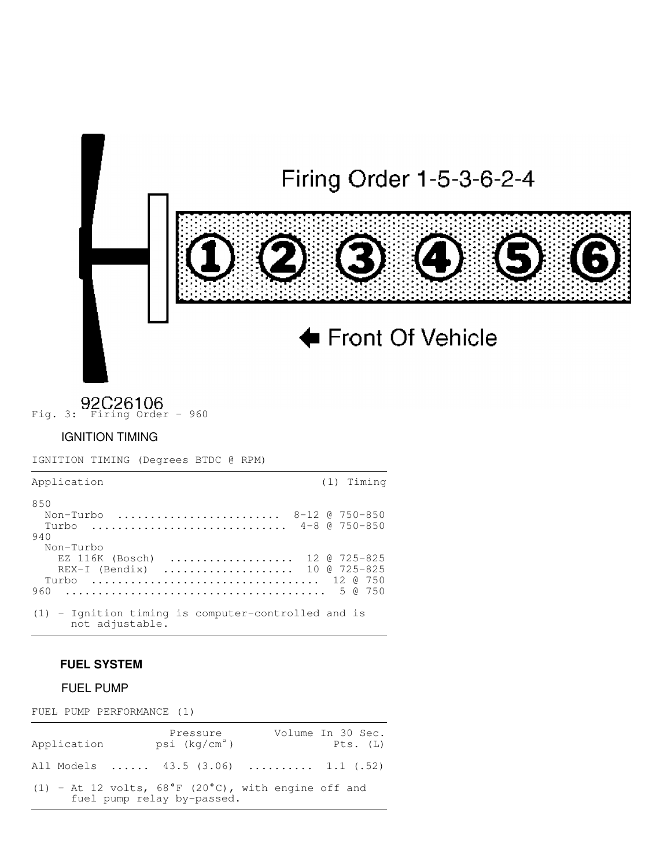

Fig. 3: P2C26106<br>Fig. 3: Firing Order - 960

# IGNITION TIMING

IGNITION TIMING (Degrees BTDC @ RPM)

| Application                                                              | (1) Timing                                    |
|--------------------------------------------------------------------------|-----------------------------------------------|
| 850<br>Non-Turbo<br>$Turbo$                                              | $8-12$ $0$ $750-850$<br>$4 - 8$ $8$ 750 - 850 |
| 940<br>Non-Turbo                                                         |                                               |
| $EZ$ 116K (Bosch)<br>REX-I (Bendix)  10 @ 725-825<br>Turbo  12 @ 750     | 12 @ 725-825                                  |
| 960                                                                      |                                               |
| $(1)$ - Ignition timing is computer-controlled and is<br>not adjustable. |                                               |

# **FUEL SYSTEM**

## FUEL PUMP

FUEL PUMP PERFORMANCE (1)

| Application | Pressure<br>psi (kq/cm²)   | Volume In 30 Sec.<br>Pts. (L)                                 |
|-------------|----------------------------|---------------------------------------------------------------|
|             |                            | All Models  43.5 (3.06)  1.1 (.52)                            |
|             | fuel pump relay by-passed. | (1) - At 12 volts, $68^{\circ}$ F (20°C), with engine off and |